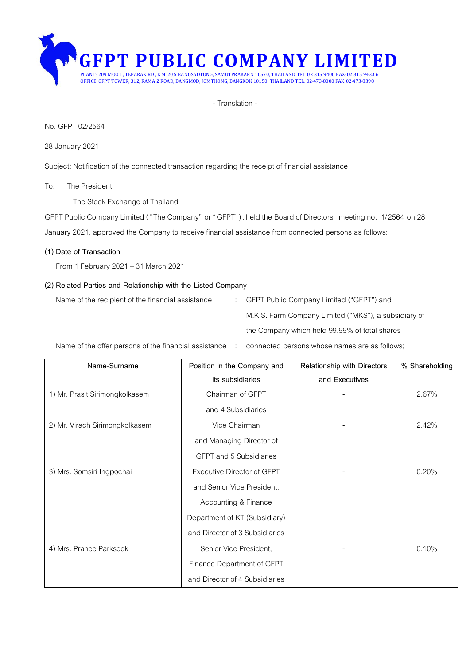

- Translation -

#### No. GFPT 02/2564

#### 28 January 2021

Subject: Notification of the connected transaction regarding the receipt of financial assistance

#### To: The President

The Stock Exchange of Thailand

GFPT Public Company Limited ("The Company" or "GFPT"), held the Board of Directors' meeting no. 1/2564 on 28 January 2021, approved the Company to receive financial assistance from connected persons as follows:

#### **(1) Date of Transaction**

From 1 February2021–31 March 2021

#### **(2) Related Parties and Relationship with the Listed Company**

Name of the recipient of the financial assistance : GFPT Public Company Limited ("GFPT") and

M.K.S. Farm Company Limited ("MKS"), a subsidiary of the Company which held 99.99% of total shares

Name of the offer persons of the financial assistance : connected persons whose names are as follows;

| Name-Surname                   | Position in the Company and    | Relationship with Directors | % Shareholding |
|--------------------------------|--------------------------------|-----------------------------|----------------|
|                                | its subsidiaries               | and Executives              |                |
| 1) Mr. Prasit Sirimongkolkasem | Chairman of GFPT               |                             | 2.67%          |
|                                | and 4 Subsidiaries             |                             |                |
| 2) Mr. Virach Sirimongkolkasem | Vice Chairman                  |                             | 2.42%          |
|                                | and Managing Director of       |                             |                |
|                                | <b>GFPT</b> and 5 Subsidiaries |                             |                |
| 3) Mrs. Somsiri Ingpochai      | Executive Director of GFPT     |                             | 0.20%          |
|                                | and Senior Vice President,     |                             |                |
|                                | Accounting & Finance           |                             |                |
|                                | Department of KT (Subsidiary)  |                             |                |
|                                | and Director of 3 Subsidiaries |                             |                |
| 4) Mrs. Pranee Parksook        | Senior Vice President,         |                             | 0.10%          |
|                                | Finance Department of GFPT     |                             |                |
|                                | and Director of 4 Subsidiaries |                             |                |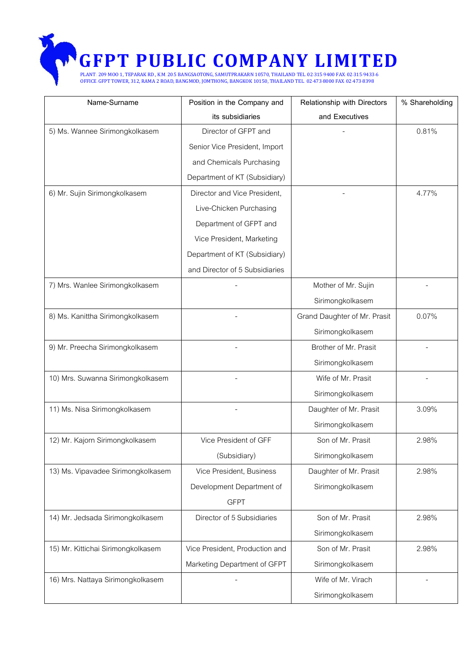## **CFPT PUBLIC COMPANY LIMITED**<br>PLANT: 209 MOO 1, TEPARAK RD., K.M. 20.5 BANGSAOTONG, SAMUTPRAKARN 10570, THAILAND TEL. 02-315-9400 FAX: 02-315-9433-6

OFFICE: GFPT TOWER, 312, RAMA 2 ROAD, BANGMOD, JOMTHONG, BANGKOK 10150, THAILAND TEL. 02-473-8000 FAX: 02-473-8398

| Name-Surname                       | Position in the Company and    | Relationship with Directors  | % Shareholding |
|------------------------------------|--------------------------------|------------------------------|----------------|
|                                    | its subsidiaries               | and Executives               |                |
| 5) Ms. Wannee Sirimongkolkasem     | Director of GFPT and           |                              | 0.81%          |
|                                    | Senior Vice President, Import  |                              |                |
|                                    | and Chemicals Purchasing       |                              |                |
|                                    | Department of KT (Subsidiary)  |                              |                |
| 6) Mr. Sujin Sirimongkolkasem      | Director and Vice President,   |                              | 4.77%          |
|                                    | Live-Chicken Purchasing        |                              |                |
|                                    | Department of GFPT and         |                              |                |
|                                    | Vice President, Marketing      |                              |                |
|                                    | Department of KT (Subsidiary)  |                              |                |
|                                    | and Director of 5 Subsidiaries |                              |                |
| 7) Mrs. Wanlee Sirimongkolkasem    |                                | Mother of Mr. Sujin          |                |
|                                    |                                | Sirimongkolkasem             |                |
| 8) Ms. Kanittha Sirimongkolkasem   |                                | Grand Daughter of Mr. Prasit | 0.07%          |
|                                    |                                | Sirimongkolkasem             |                |
| 9) Mr. Preecha Sirimongkolkasem    |                                | Brother of Mr. Prasit        |                |
|                                    |                                | Sirimongkolkasem             |                |
| 10) Mrs. Suwanna Sirimongkolkasem  |                                | Wife of Mr. Prasit           |                |
|                                    |                                | Sirimongkolkasem             |                |
| 11) Ms. Nisa Sirimongkolkasem      |                                | Daughter of Mr. Prasit       | 3.09%          |
|                                    |                                | Sirimongkolkasem             |                |
| 12) Mr. Kajorn Sirimongkolkasem    | Vice President of GFF          | Son of Mr. Prasit            | 2.98%          |
|                                    | (Subsidiary)                   | Sirimongkolkasem             |                |
| 13) Ms. Vipavadee Sirimongkolkasem | Vice President, Business       | Daughter of Mr. Prasit       | 2.98%          |
|                                    | Development Department of      | Sirimongkolkasem             |                |
|                                    | <b>GFPT</b>                    |                              |                |
| 14) Mr. Jedsada Sirimongkolkasem   | Director of 5 Subsidiaries     | Son of Mr. Prasit            | 2.98%          |
|                                    |                                | Sirimongkolkasem             |                |
| 15) Mr. Kittichai Sirimongkolkasem | Vice President, Production and | Son of Mr. Prasit            | 2.98%          |
|                                    | Marketing Department of GFPT   | Sirimongkolkasem             |                |
| 16) Mrs. Nattaya Sirimongkolkasem  |                                | Wife of Mr. Virach           |                |
|                                    |                                | Sirimongkolkasem             |                |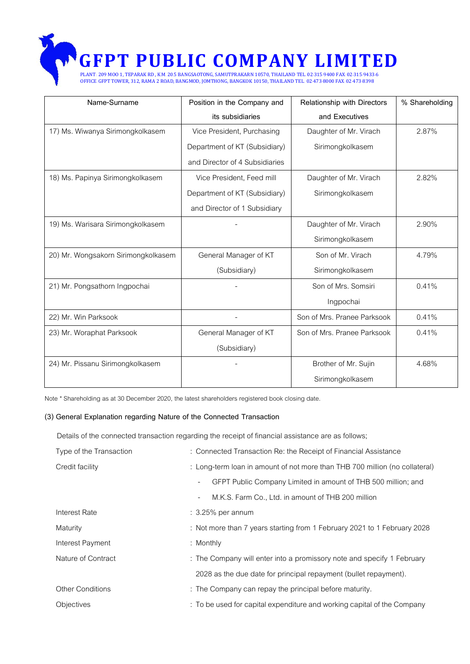# **CFPT PUBLIC COMPANY LIMITED**<br>PLANT: 209 MOO 1, TEPARAK RD., K.M. 20.5 BANGSAOTONG, SAMUTPRAKARN 10570, THAILAND TEL. 02-315-9400 FAX: 02-315-9433-6

OFFICE: GFPT TOWER, 312, RAMA 2 ROAD, BANGMOD, JOMTHONG, BANGKOK 10150, THAILAND TEL. 02-473-8000 FAX: 02-473-8398

| Name-Surname                        | Position in the Company and    | Relationship with Directors | % Shareholding |
|-------------------------------------|--------------------------------|-----------------------------|----------------|
|                                     | its subsidiaries               | and Executives              |                |
| 17) Ms. Wiwanya Sirimongkolkasem    | Vice President, Purchasing     | Daughter of Mr. Virach      | 2.87%          |
|                                     | Department of KT (Subsidiary)  | Sirimongkolkasem            |                |
|                                     | and Director of 4 Subsidiaries |                             |                |
| 18) Ms. Papinya Sirimongkolkasem    | Vice President, Feed mill      | Daughter of Mr. Virach      | 2.82%          |
|                                     | Department of KT (Subsidiary)  | Sirimongkolkasem            |                |
|                                     | and Director of 1 Subsidiary   |                             |                |
| 19) Ms. Warisara Sirimongkolkasem   |                                | Daughter of Mr. Virach      | 2.90%          |
|                                     |                                | Sirimongkolkasem            |                |
| 20) Mr. Wongsakorn Sirimongkolkasem | General Manager of KT          | Son of Mr. Virach           | 4.79%          |
|                                     | (Subsidiary)                   | Sirimongkolkasem            |                |
| 21) Mr. Pongsathorn Ingpochai       |                                | Son of Mrs. Somsiri         | 0.41%          |
|                                     |                                | Ingpochai                   |                |
| 22) Mr. Win Parksook                |                                | Son of Mrs. Pranee Parksook | 0.41%          |
| 23) Mr. Woraphat Parksook           | General Manager of KT          | Son of Mrs. Pranee Parksook | 0.41%          |
|                                     | (Subsidiary)                   |                             |                |
| 24) Mr. Pissanu Sirimongkolkasem    |                                | Brother of Mr. Sujin        | 4.68%          |
|                                     |                                | Sirimongkolkasem            |                |

Note \* Shareholding as at 30 December 2020, the latest shareholders registered book closing date.

#### **(3) General Explanation regarding Nature of the Connected Transaction**

Details of the connected transaction regarding the receipt of financial assistance are as follows;

| Type of the Transaction | : Connected Transaction Re: the Receipt of Financial Assistance                           |
|-------------------------|-------------------------------------------------------------------------------------------|
| Credit facility         | : Long-term loan in amount of not more than THB 700 million (no collateral)               |
|                         | GFPT Public Company Limited in amount of THB 500 million; and<br>$\overline{\phantom{a}}$ |
|                         | M.K.S. Farm Co., Ltd. in amount of THB 200 million<br>$\overline{\phantom{a}}$            |
| Interest Rate           | $\therefore$ 3.25% per annum                                                              |
| Maturity                | : Not more than 7 years starting from 1 February 2021 to 1 February 2028                  |
| Interest Payment        | : Monthly                                                                                 |
| Nature of Contract      | : The Company will enter into a promissory note and specify 1 February                    |
|                         | 2028 as the due date for principal repayment (bullet repayment).                          |
| <b>Other Conditions</b> | : The Company can repay the principal before maturity.                                    |
| <b>Objectives</b>       | : To be used for capital expenditure and working capital of the Company                   |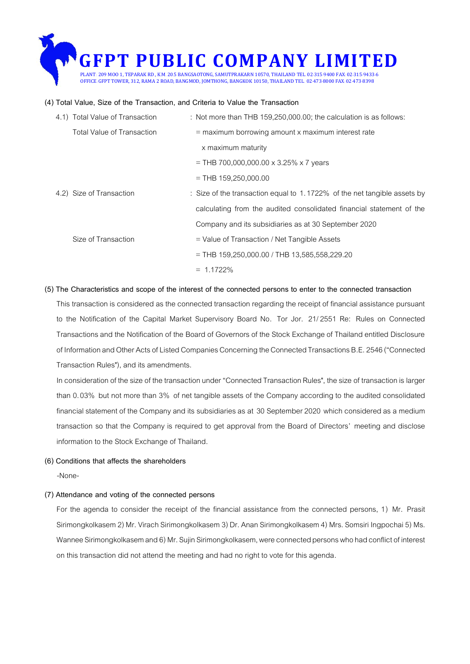### **GFPT PUBLIC COMPANY LIMITED** PLANT: 209 MOO 1, TEPARAK RD., K.M. 20.5 BANGSAOTONG, SAMUTPRAKARN 10570, THAILAND TEL. 02-315-9400 FAX: 02-315-9433-6 OFFICE: GFPT TOWER, 312, RAMA 2 ROAD, BANGMOD, JOMTHONG, BANGKOK 10150, THAILAND TEL. 02-473-8000 FAX: 02-473-8398

#### **(4) Total Value, Size of the Transaction, and Criteria to Value the Transaction**

| 4.1) Total Value of Transaction   | : Not more than THB $159,250,000.00$ ; the calculation is as follows:    |
|-----------------------------------|--------------------------------------------------------------------------|
| <b>Total Value of Transaction</b> | $=$ maximum borrowing amount x maximum interest rate                     |
|                                   | x maximum maturity                                                       |
|                                   | = THB 700,000,000.00 x 3.25% x 7 years                                   |
|                                   | $=$ THB 159,250,000.00                                                   |
| 4.2) Size of Transaction          | : Size of the transaction equal to 1.1722% of the net tangible assets by |
|                                   | calculating from the audited consolidated financial statement of the     |
|                                   | Company and its subsidiaries as at 30 September 2020                     |
| Size of Transaction               | $=$ Value of Transaction / Net Tangible Assets                           |
|                                   | $=$ THB 159,250,000.00 / THB 13,585,558,229.20                           |
|                                   | $= 1.1722\%$                                                             |

#### **(5) The Characteristics and scope of the interest of the connected persons to enter to the connected transaction** This transaction is considered as the connected transaction regarding the receipt of financial assistance pursuant to the Notification of the Capital Market Supervisory Board No. Tor Jor. 21/2551 Re: Rules on Connected Transactions and the Notification of the Board of Governors of the Stock Exchange of Thailand entitled Disclosure of Information and Other Acts of Listed Companies Concerning the Connected Transactions B.E. 2546 ("Connected Transaction Rules"), and its amendments.

In consideration of the size of the transaction under "Connected Transaction Rules", the size of transaction is larger than 0.03% but not more than 3% of net tangible assets of the Company according to the audited consolidated financial statement of the Company and its subsidiaries as at 30 September 2020 which considered as a medium transaction so that the Company is required to get approval from the Board of Directors' meeting and disclose information to the Stock Exchange of Thailand.

#### **(6) Conditions that affects the shareholders**

-None-

#### **(7) Attendance and voting of the connected persons**

For the agenda to consider the receipt of the financial assistance from the connected persons, 1) Mr. Prasit Sirimongkolkasem 2) Mr. Virach Sirimongkolkasem 3) Dr. Anan Sirimongkolkasem 4) Mrs. Somsiri Ingpochai 5) Ms. Wannee Sirimongkolkasem and 6) Mr. Sujin Sirimongkolkasem, were connected persons who had conflict of interest on this transaction did not attend the meeting and had no right to vote for this agenda.